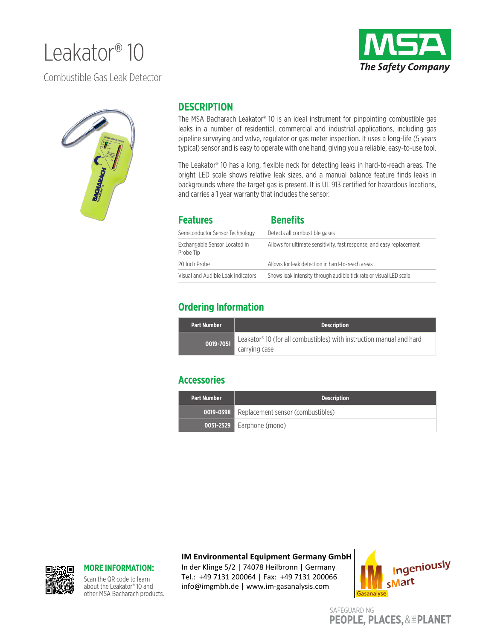# Leakator<sup>®</sup> 10



Combustible Gas Leak Detector



#### **DESCRIPTION**

The MSA Bacharach Leakator® 10 is an ideal instrument for pinpointing combustible gas leaks in a number of residential, commercial and industrial applications, including gas pipeline surveying and valve, regulator or gas meter inspection. It uses a long-life (5 years typical) sensor and is easy to operate with one hand, giving you a reliable, easy-to-use tool.

The Leakator® 10 has a long, flexible neck for detecting leaks in hard-to-reach areas. The bright LED scale shows relative leak sizes, and a manual balance feature finds leaks in backgrounds where the target gas is present. It is UL 913 certified for hazardous locations, and carries a 1 year warranty that includes the sensor.

| <b>Features</b>                            | <b>Benefits</b>                                                      |
|--------------------------------------------|----------------------------------------------------------------------|
| Semiconductor Sensor Technology            | Detects all combustible gases                                        |
| Exchangable Sensor Located in<br>Probe Tip | Allows for ultimate sensitivity, fast response, and easy replacement |
| 20 Inch Probe                              | Allows for leak detection in hard-to-reach areas                     |
| Visual and Audible Leak Indicators         | Shows leak intensity through audible tick rate or visual LED scale   |

### **Ordering Information**

| <b>Part Number</b> | <b>Description</b>                                                               |
|--------------------|----------------------------------------------------------------------------------|
| 0019-7051          | Leakator <sup>®</sup> 10 (for all combustibles) with instruction manual and hard |
|                    | carrying case                                                                    |

#### **Accessories**

| . Part Number | <b>Description</b>                                 |
|---------------|----------------------------------------------------|
|               | <b>0019-0398</b> Replacement sensor (combustibles) |
|               | <b>0051-2529</b> Earphone (mono)                   |

#### **IM Environmental Equipment Germany GmbH**

In der Klinge 5/2 | 74078 Heilbronn | Germany Tel.: +49 7131 200064 | Fax: +49 7131 200066 info@imgmbh.de | www.im-gasanalysis.com



SAFEGUARDING **PEOPLE, PLACES, & EPLANET** 



#### **MORE INFORMATION:**

Scan the QR code to learn about the Leakator® 10 and other MSA Bacharach products.